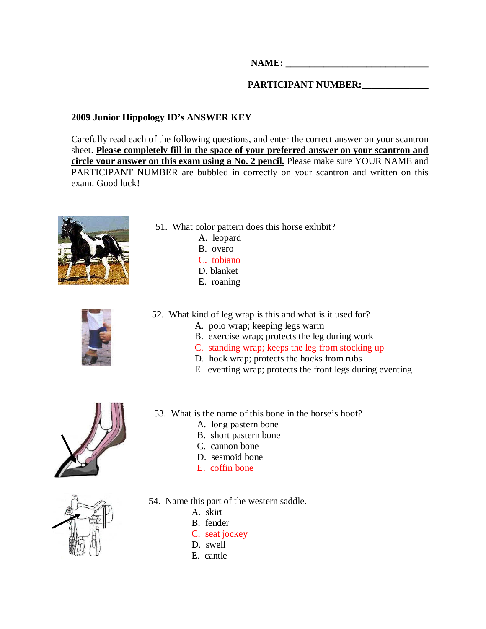**NAME: \_\_\_\_\_\_\_\_\_\_\_\_\_\_\_\_\_\_\_\_\_\_\_\_\_\_\_\_\_\_** 

## PARTICIPANT NUMBER: \_\_\_\_\_\_\_\_\_\_\_\_\_\_\_

## **2009 Junior Hippology ID's ANSWER KEY**

Carefully read each of the following questions, and enter the correct answer on your scantron sheet. **Please completely fill in the space of your preferred answer on your scantron and circle your answer on this exam using a No. 2 pencil.** Please make sure YOUR NAME and PARTICIPANT NUMBER are bubbled in correctly on your scantron and written on this exam. Good luck!



- 51. What color pattern does this horse exhibit?
	- A. leopard
	- B. overo
	- C. tobiano
	- D. blanket
	- E. roaning



52. What kind of leg wrap is this and what is it used for?

53. What is the name of this bone in the horse's hoof?

- A. polo wrap; keeping legs warm
- B. exercise wrap; protects the leg during work
- C. standing wrap; keeps the leg from stocking up
- D. hock wrap; protects the hocks from rubs
- E. eventing wrap; protects the front legs during eventing





A. long pastern bone

- D. sesmoid bone
- E. coffin bone



- 54. Name this part of the western saddle.
	- A. skirt
	- B. fender
	- C. seat jockey
	- D. swell
	- E. cantle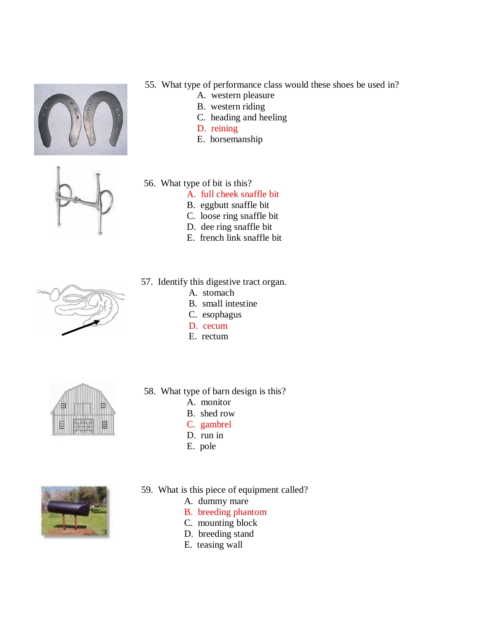



- 55. What type of performance class would these shoes be used in?
	- A. western pleasure
	- B. western riding
	- C. heading and heeling
	- D. reining
	- E. horsemanship
- 56. What type of bit is this?
	- A. full cheek snaffle bit
	- B. eggbutt snaffle bit
	- C. loose ring snaffle bit
	- D. dee ring snaffle bit
	- E. french link snaffle bit
- 57. Identify this digestive tract organ.
	- A. stomach
	- B. small intestine
	- C. esophagus
	- D. cecum
	- E. rectum



- 58. What type of barn design is this?
	- A. monitor
	- B. shed row
	- C. gambrel
	- D. run in
	- E. pole



- 59. What is this piece of equipment called?
	- A. dummy mare
	- B. breeding phantom
	- C. mounting block
	- D. breeding stand
	- E. teasing wall

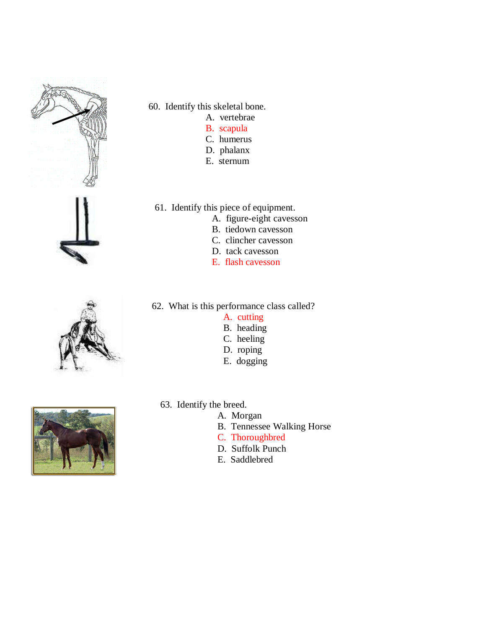





- A. vertebrae
- B. scapula
- C. humerus
- D. phalanx
- E. sternum
- 61. Identify this piece of equipment.
	- A. figure-eight cavesson
	- B. tiedown cavesson
	- C. clincher cavesson
	- D. tack cavesson
	- E. flash cavesson
- 62. What is this performance class called?
	- A. cutting
	- B. heading
	- C. heeling
	- D. roping
	- E. dogging



- 63. Identify the breed.
	- A. Morgan
		- B. Tennessee Walking Horse
		- C. Thoroughbred
		- D. Suffolk Punch
		- E. Saddlebred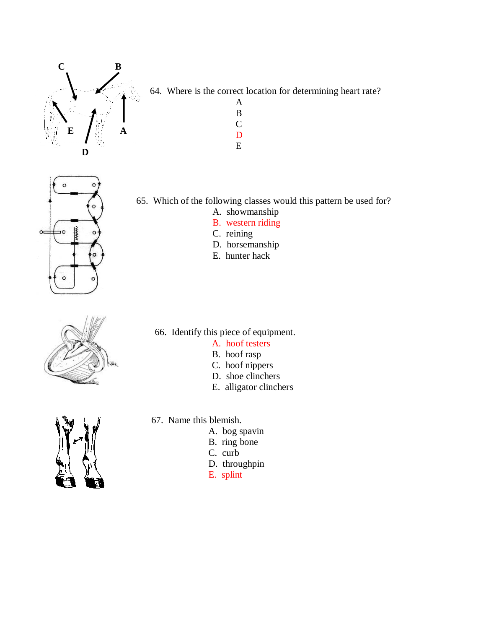

64. Where is the correct location for determining heart rate?

 A B C **D** E



65. Which of the following classes would this pattern be used for?

- A. showmanship
- B. western riding
- C. reining
- D. horsemanship
- E. hunter hack



66. Identify this piece of equipment.

- A. hoof testers
- B. hoof rasp
- C. hoof nippers
- D. shoe clinchers
- E. alligator clinchers



- 67. Name this blemish.
	- A. bog spavin
	- B. ring bone
	- C. curb
	- D. throughpin
	- E. splint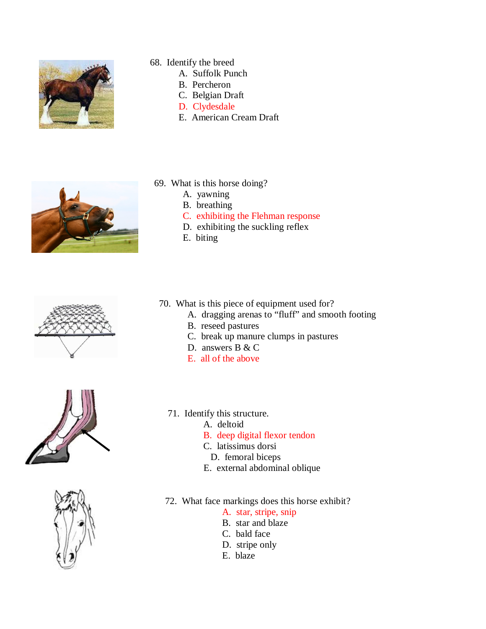

- 68. Identify the breed
	- A. Suffolk Punch
	- B. Percheron
	- C. Belgian Draft
	- D. Clydesdale
	- E. American Cream Draft



- 69. What is this horse doing?
	- A. yawning
	- B. breathing
	- C. exhibiting the Flehman response
	- D. exhibiting the suckling reflex
	- E. biting







- 70. What is this piece of equipment used for?
	- A. dragging arenas to "fluff" and smooth footing
	- B. reseed pastures
	- C. break up manure clumps in pastures
	- D. answers B & C
	- E. all of the above
	- 71. Identify this structure.
		- A. deltoid
		- B. deep digital flexor tendon
		- C. latissimus dorsi
		- D. femoral biceps
		- E. external abdominal oblique
	- 72. What face markings does this horse exhibit?
		- A. star, stripe, snip
		- B. star and blaze
		- C. bald face
		- D. stripe only
		- E. blaze